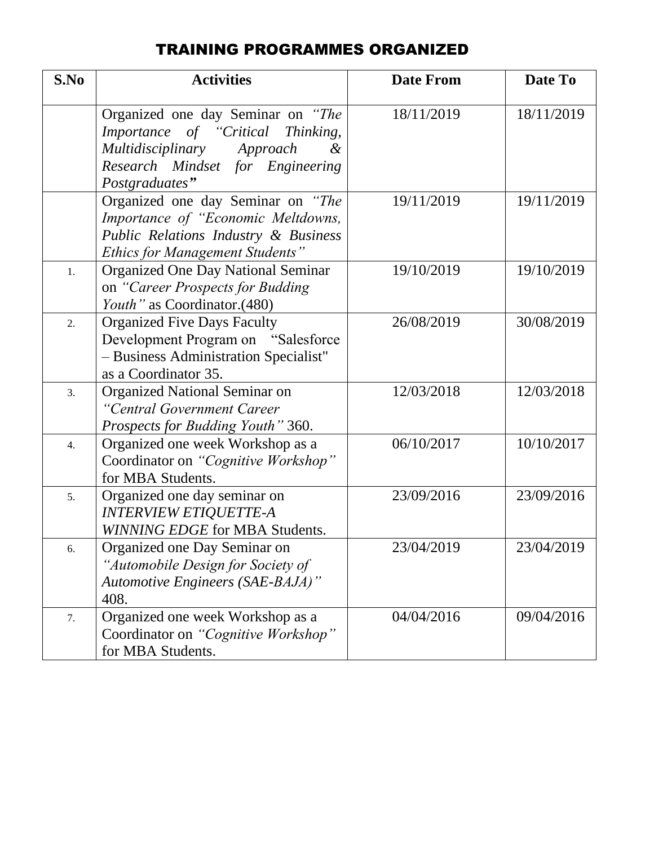#### TRAINING PROGRAMMES ORGANIZED

| S.No             | <b>Activities</b>                                                                                                                                                      | <b>Date From</b> | Date To    |
|------------------|------------------------------------------------------------------------------------------------------------------------------------------------------------------------|------------------|------------|
|                  | Organized one day Seminar on "The<br>Importance of "Critical Thinking,<br>Multidisciplinary Approach<br>$\alpha$<br>Research Mindset for Engineering<br>Postgraduates" | 18/11/2019       | 18/11/2019 |
|                  | Organized one day Seminar on "The<br>Importance of "Economic Meltdowns,<br>Public Relations Industry & Business<br><b>Ethics for Management Students"</b>              | 19/11/2019       | 19/11/2019 |
| 1.               | <b>Organized One Day National Seminar</b><br>on "Career Prospects for Budding<br>Youth" as Coordinator.(480)                                                           | 19/10/2019       | 19/10/2019 |
| $\overline{2}$ . | <b>Organized Five Days Faculty</b><br>Development Program on "Salesforce"<br>- Business Administration Specialist"<br>as a Coordinator 35.                             | 26/08/2019       | 30/08/2019 |
| 3.               | <b>Organized National Seminar on</b><br>"Central Government Career<br>Prospects for Budding Youth" 360.                                                                | 12/03/2018       | 12/03/2018 |
| 4.               | Organized one week Workshop as a<br>Coordinator on "Cognitive Workshop"<br>for MBA Students.                                                                           | 06/10/2017       | 10/10/2017 |
| 5.               | Organized one day seminar on<br><b>INTERVIEW ETIQUETTE-A</b><br>WINNING EDGE for MBA Students.                                                                         | 23/09/2016       | 23/09/2016 |
| 6.               | Organized one Day Seminar on<br>"Automobile Design for Society of<br>Automotive Engineers (SAE-BAJA)"<br>408.                                                          | 23/04/2019       | 23/04/2019 |
| 7.               | Organized one week Workshop as a<br>Coordinator on "Cognitive Workshop"<br>for MBA Students.                                                                           | 04/04/2016       | 09/04/2016 |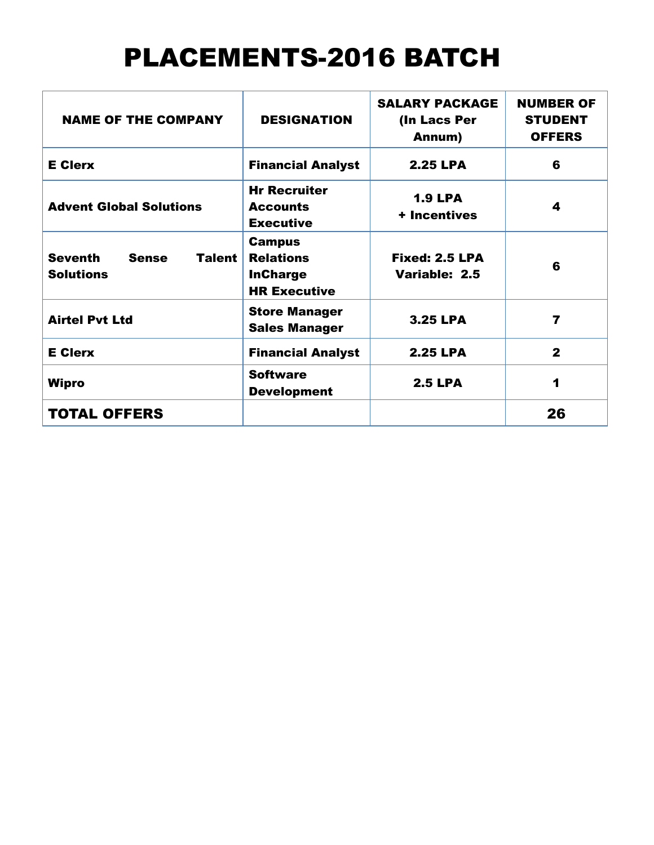# PLACEMENTS-2016 BATCH

| <b>NAME OF THE COMPANY</b>                                   | <b>DESIGNATION</b>                                                          | <b>SALARY PACKAGE</b><br>(In Lacs Per<br>Annum) | <b>NUMBER OF</b><br><b>STUDENT</b><br><b>OFFERS</b> |
|--------------------------------------------------------------|-----------------------------------------------------------------------------|-------------------------------------------------|-----------------------------------------------------|
| <b>E</b> Clerx                                               | <b>Financial Analyst</b>                                                    | <b>2.25 LPA</b>                                 | 6                                                   |
| <b>Advent Global Solutions</b>                               | <b>Hr Recruiter</b><br><b>Accounts</b><br><b>Executive</b>                  | <b>1.9 LPA</b><br>+ Incentives                  | 4                                                   |
| <b>Seventh</b><br><b>Sense</b><br>Talent<br><b>Solutions</b> | <b>Campus</b><br><b>Relations</b><br><b>InCharge</b><br><b>HR Executive</b> | Fixed: 2.5 LPA<br>Variable: 2.5                 | 6                                                   |
| <b>Airtel Pvt Ltd</b>                                        | <b>Store Manager</b><br><b>Sales Manager</b>                                | <b>3.25 LPA</b>                                 | 7                                                   |
| <b>E</b> Clerx                                               | <b>Financial Analyst</b>                                                    | <b>2.25 LPA</b>                                 | $\mathbf 2$                                         |
| Wipro                                                        | <b>Software</b><br><b>Development</b>                                       | <b>2.5 LPA</b>                                  | $\blacktriangleleft$                                |
| <b>TOTAL OFFERS</b>                                          |                                                                             |                                                 | 26                                                  |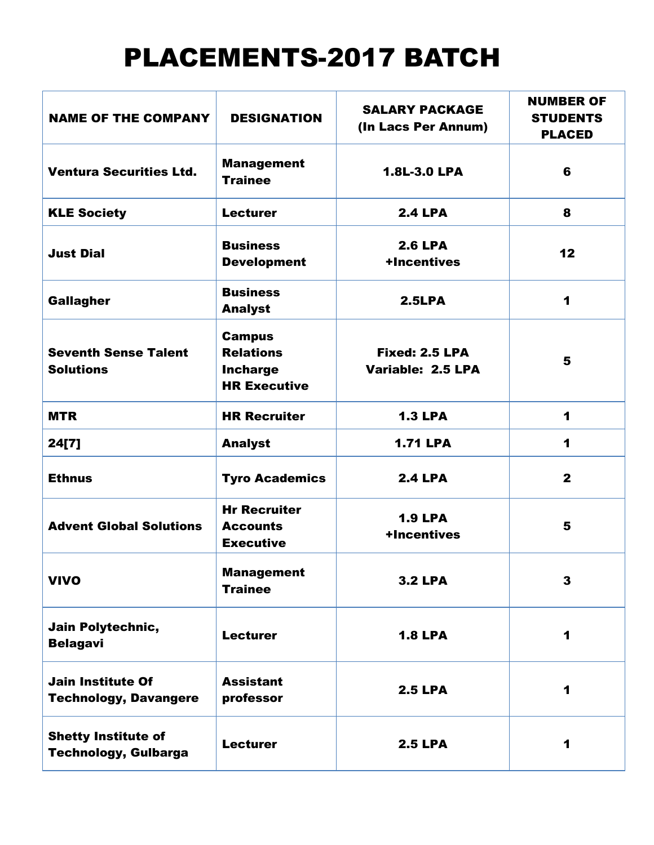# PLACEMENTS-2017 BATCH

| <b>NAME OF THE COMPANY</b>                                | <b>DESIGNATION</b>                                                          | <b>SALARY PACKAGE</b><br>(In Lacs Per Annum) | <b>NUMBER OF</b><br><b>STUDENTS</b><br><b>PLACED</b> |
|-----------------------------------------------------------|-----------------------------------------------------------------------------|----------------------------------------------|------------------------------------------------------|
| <b>Ventura Securities Ltd.</b>                            | <b>Management</b><br><b>Trainee</b>                                         | 1.8L-3.0 LPA                                 | 6                                                    |
| <b>KLE Society</b>                                        | <b>Lecturer</b>                                                             | <b>2.4 LPA</b>                               | 8                                                    |
| <b>Just Dial</b>                                          | <b>Business</b><br><b>Development</b>                                       | <b>2.6 LPA</b><br>+Incentives                | 12                                                   |
| <b>Gallagher</b>                                          | <b>Business</b><br><b>Analyst</b>                                           | 2.5LPA                                       | 1                                                    |
| <b>Seventh Sense Talent</b><br><b>Solutions</b>           | <b>Campus</b><br><b>Relations</b><br><b>Incharge</b><br><b>HR Executive</b> | Fixed: 2.5 LPA<br>Variable: 2.5 LPA          | 5                                                    |
| <b>MTR</b>                                                | <b>HR Recruiter</b>                                                         | <b>1.3 LPA</b>                               | 1                                                    |
| 24[7]                                                     | <b>Analyst</b>                                                              | <b>1.71 LPA</b>                              | 1                                                    |
| <b>Ethnus</b>                                             | <b>Tyro Academics</b>                                                       | <b>2.4 LPA</b>                               | $\mathbf{2}$                                         |
| <b>Advent Global Solutions</b>                            | <b>Hr Recruiter</b><br><b>Accounts</b><br><b>Executive</b>                  | <b>1.9 LPA</b><br>+Incentives                | 5                                                    |
| <b>VIVO</b>                                               | <b>Management</b><br><b>Trainee</b>                                         | <b>3.2 LPA</b>                               | 3                                                    |
| Jain Polytechnic,<br><b>Belagavi</b>                      | <b>Lecturer</b>                                                             | <b>1.8 LPA</b>                               | 1                                                    |
| <b>Jain Institute Of</b><br><b>Technology, Davangere</b>  | <b>Assistant</b><br>professor                                               | <b>2.5 LPA</b>                               | 1                                                    |
| <b>Shetty Institute of</b><br><b>Technology, Gulbarga</b> | <b>Lecturer</b>                                                             | <b>2.5 LPA</b>                               | 1                                                    |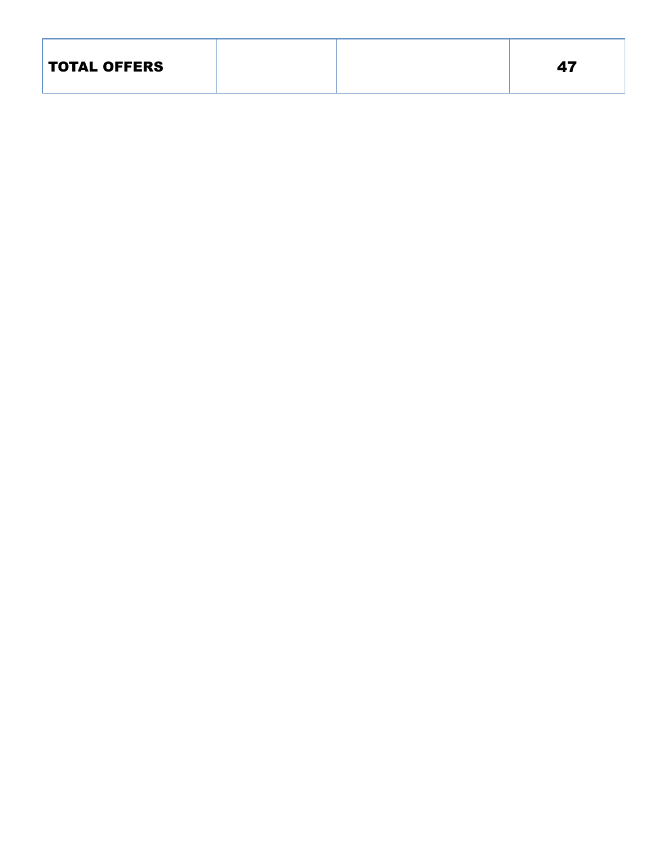| <b>TOTAL OFFERS</b> |  |  | 47 |
|---------------------|--|--|----|
|---------------------|--|--|----|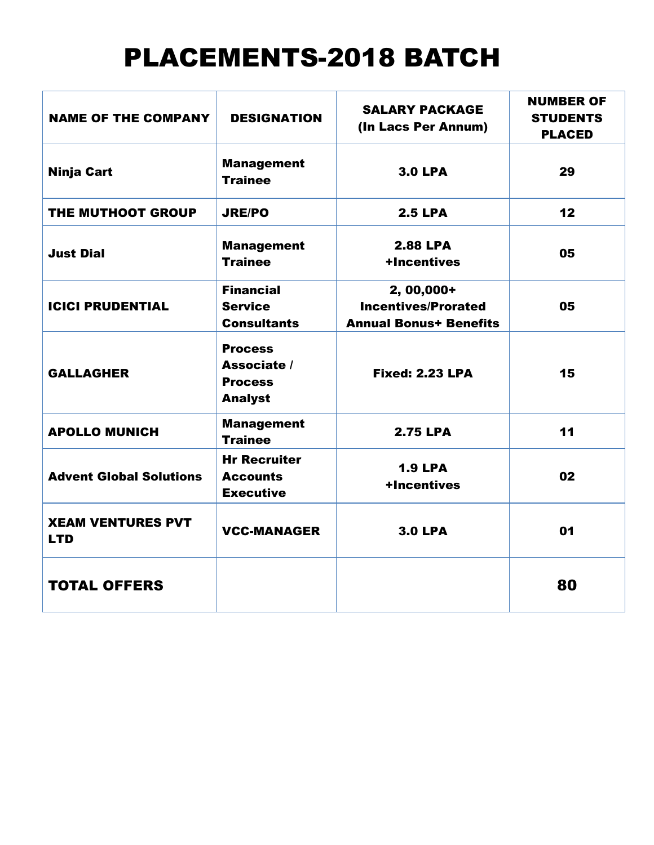# PLACEMENTS-2018 BATCH

| <b>NAME OF THE COMPANY</b>             | <b>DESIGNATION</b>                                                | <b>SALARY PACKAGE</b><br>(In Lacs Per Annum)                              | <b>NUMBER OF</b><br><b>STUDENTS</b><br><b>PLACED</b> |
|----------------------------------------|-------------------------------------------------------------------|---------------------------------------------------------------------------|------------------------------------------------------|
| <b>Ninja Cart</b>                      | <b>Management</b><br><b>Trainee</b>                               | <b>3.0 LPA</b>                                                            | 29                                                   |
| THE MUTHOOT GROUP                      | <b>JRE/PO</b>                                                     | <b>2.5 LPA</b>                                                            | 12                                                   |
| <b>Just Dial</b>                       | <b>Management</b><br><b>Trainee</b>                               | <b>2.88 LPA</b><br>+Incentives                                            | 05                                                   |
| <b>ICICI PRUDENTIAL</b>                | <b>Financial</b><br><b>Service</b><br><b>Consultants</b>          | 2, 00,000+<br><b>Incentives/Prorated</b><br><b>Annual Bonus+ Benefits</b> | 05                                                   |
| <b>GALLAGHER</b>                       | <b>Process</b><br>Associate /<br><b>Process</b><br><b>Analyst</b> | <b>Fixed: 2.23 LPA</b>                                                    | 15                                                   |
| <b>APOLLO MUNICH</b>                   | <b>Management</b><br><b>Trainee</b>                               | <b>2.75 LPA</b>                                                           | 11                                                   |
| <b>Advent Global Solutions</b>         | <b>Hr Recruiter</b><br><b>Accounts</b><br><b>Executive</b>        | <b>1.9 LPA</b><br>+Incentives                                             | 02                                                   |
| <b>XEAM VENTURES PVT</b><br><b>LTD</b> | <b>VCC-MANAGER</b>                                                | <b>3.0 LPA</b>                                                            | 01                                                   |
| <b>TOTAL OFFERS</b>                    |                                                                   |                                                                           | 80                                                   |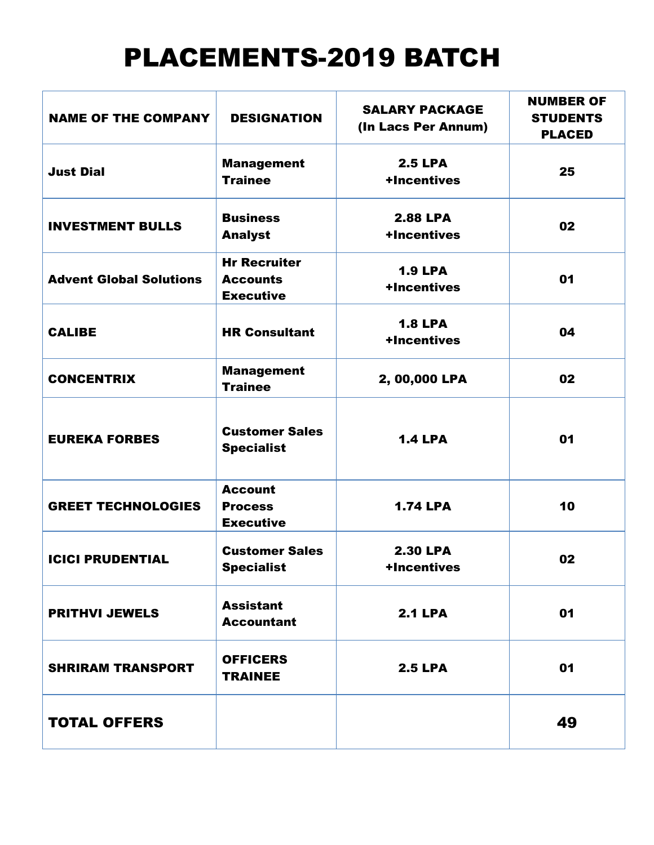# PLACEMENTS-2019 BATCH

| <b>NAME OF THE COMPANY</b>     | <b>DESIGNATION</b>                                         | <b>SALARY PACKAGE</b><br>(In Lacs Per Annum) | <b>NUMBER OF</b><br><b>STUDENTS</b><br><b>PLACED</b> |
|--------------------------------|------------------------------------------------------------|----------------------------------------------|------------------------------------------------------|
| <b>Just Dial</b>               | <b>Management</b><br><b>Trainee</b>                        | <b>2.5 LPA</b><br>+Incentives                | 25                                                   |
| <b>INVESTMENT BULLS</b>        | <b>Business</b><br><b>Analyst</b>                          | <b>2.88 LPA</b><br>+Incentives               | 02                                                   |
| <b>Advent Global Solutions</b> | <b>Hr Recruiter</b><br><b>Accounts</b><br><b>Executive</b> | <b>1.9 LPA</b><br>+Incentives                | 01                                                   |
| <b>CALIBE</b>                  | <b>HR Consultant</b>                                       | <b>1.8 LPA</b><br>+Incentives                | 04                                                   |
| <b>CONCENTRIX</b>              | <b>Management</b><br><b>Trainee</b>                        | 2, 00,000 LPA                                | 02                                                   |
| <b>EUREKA FORBES</b>           | <b>Customer Sales</b><br><b>Specialist</b>                 | <b>1.4 LPA</b>                               | 01                                                   |
| <b>GREET TECHNOLOGIES</b>      | <b>Account</b><br><b>Process</b><br><b>Executive</b>       | <b>1.74 LPA</b>                              | 10                                                   |
| <b>ICICI PRUDENTIAL</b>        | <b>Customer Sales</b><br><b>Specialist</b>                 | <b>2.30 LPA</b><br>+Incentives               | 02                                                   |
| <b>PRITHVI JEWELS</b>          | <b>Assistant</b><br><b>Accountant</b>                      | <b>2.1 LPA</b>                               | 01                                                   |
| <b>SHRIRAM TRANSPORT</b>       | <b>OFFICERS</b><br><b>TRAINEE</b>                          | <b>2.5 LPA</b>                               | 01                                                   |
| <b>TOTAL OFFERS</b>            |                                                            |                                              | 49                                                   |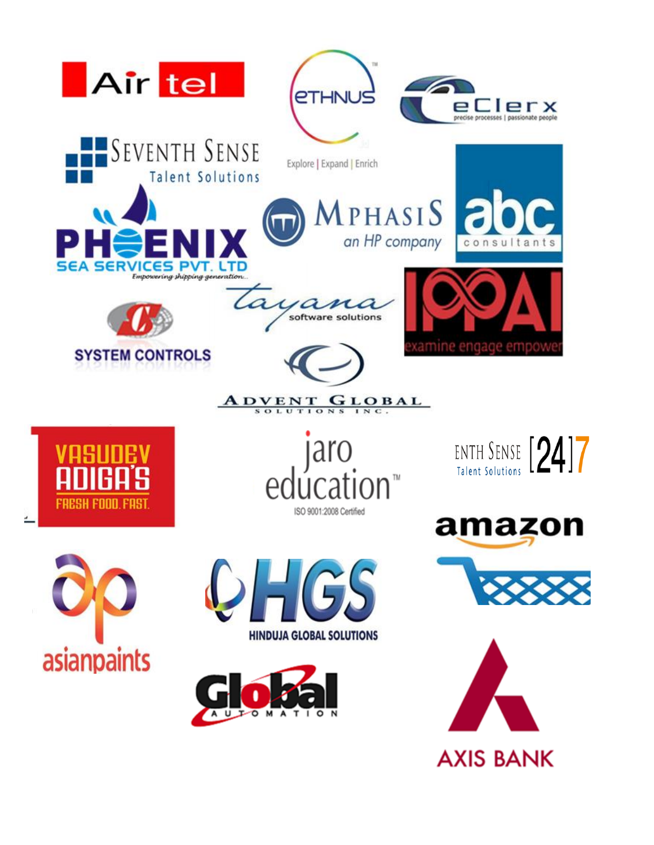